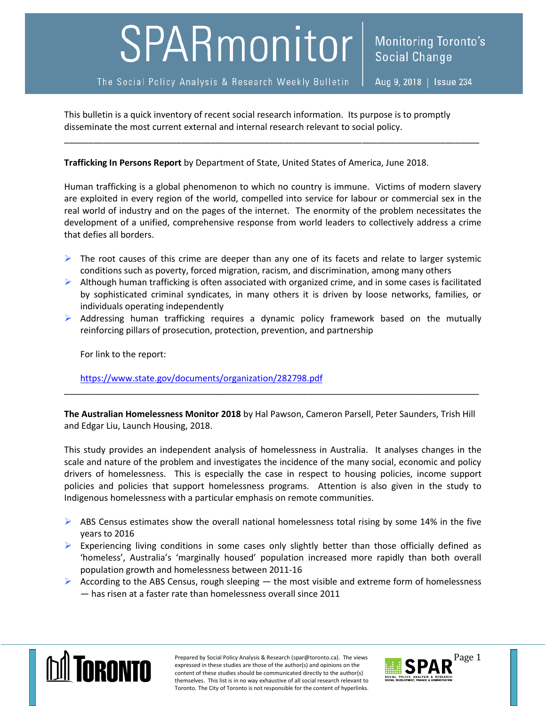## SPARmonitor

Aug 9, 2018 | Issue 234

This bulletin is a quick inventory of recent social research information. Its purpose is to promptly disseminate the most current external and internal research relevant to social policy.

## **Trafficking In Persons Report** by Department of State, United States of America, June 2018.

Human trafficking is a global phenomenon to which no country is immune. Victims of modern slavery are exploited in every region of the world, compelled into service for labour or commercial sex in the real world of industry and on the pages of the internet. The enormity of the problem necessitates the development of a unified, comprehensive response from world leaders to collectively address a crime that defies all borders.

\_\_\_\_\_\_\_\_\_\_\_\_\_\_\_\_\_\_\_\_\_\_\_\_\_\_\_\_\_\_\_\_\_\_\_\_\_\_\_\_\_\_\_\_\_\_\_\_\_\_\_\_\_\_\_\_\_\_\_\_\_\_\_\_\_\_\_\_\_\_\_\_\_\_\_\_\_\_\_\_\_\_\_\_\_

- $\triangleright$  The root causes of this crime are deeper than any one of its facets and relate to larger systemic conditions such as poverty, forced migration, racism, and discrimination, among many others
- $\triangleright$  Although human trafficking is often associated with organized crime, and in some cases is facilitated by sophisticated criminal syndicates, in many others it is driven by loose networks, families, or individuals operating independently
- $\triangleright$  Addressing human trafficking requires a dynamic policy framework based on the mutually reinforcing pillars of prosecution, protection, prevention, and partnership

For link to the report:

<https://www.state.gov/documents/organization/282798.pdf>

**The Australian Homelessness Monitor 2018** by Hal Pawson, Cameron Parsell, Peter Saunders, Trish Hill and Edgar Liu, Launch Housing, 2018.

\_\_\_\_\_\_\_\_\_\_\_\_\_\_\_\_\_\_\_\_\_\_\_\_\_\_\_\_\_\_\_\_\_\_\_\_\_\_\_\_\_\_\_\_\_\_\_\_\_\_\_\_\_\_\_\_\_\_\_\_\_\_\_\_\_\_\_\_\_\_\_\_\_\_\_\_\_\_\_\_\_\_\_\_\_

This study provides an independent analysis of homelessness in Australia. It analyses changes in the scale and nature of the problem and investigates the incidence of the many social, economic and policy drivers of homelessness. This is especially the case in respect to housing policies, income support policies and policies that support homelessness programs. Attention is also given in the study to Indigenous homelessness with a particular emphasis on remote communities.

- $\triangleright$  ABS Census estimates show the overall national homelessness total rising by some 14% in the five years to 2016
- Experiencing living conditions in some cases only slightly better than those officially defined as 'homeless', Australia's 'marginally housed' population increased more rapidly than both overall population growth and homelessness between 2011-16
- According to the ABS Census, rough sleeping  $-$  the most visible and extreme form of homelessness — has risen at a faster rate than homelessness overall since 2011



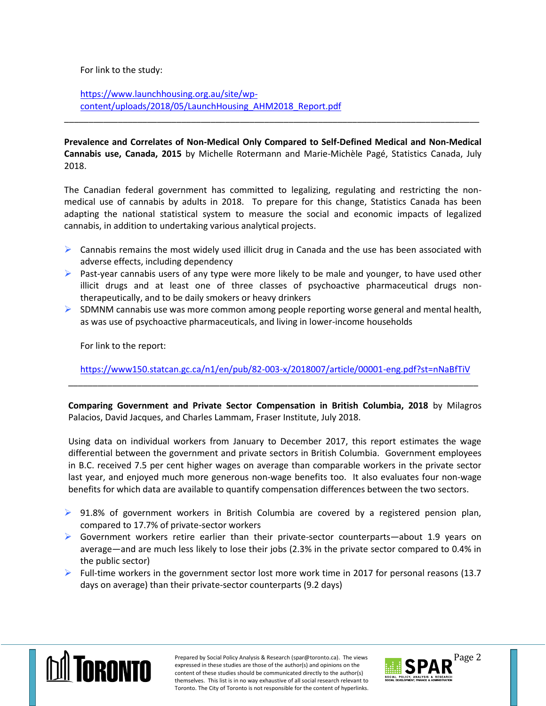For link to the study:

[https://www.launchhousing.org.au/site/wp](https://www.launchhousing.org.au/site/wp-content/uploads/2018/05/LaunchHousing_AHM2018_Report.pdf)[content/uploads/2018/05/LaunchHousing\\_AHM2018\\_Report.pdf](https://www.launchhousing.org.au/site/wp-content/uploads/2018/05/LaunchHousing_AHM2018_Report.pdf)

**Prevalence and Correlates of Non-Medical Only Compared to Self-Defined Medical and Non-Medical Cannabis use, Canada, 2015** by Michelle Rotermann and Marie-Michèle Pagé, Statistics Canada, July 2018.

\_\_\_\_\_\_\_\_\_\_\_\_\_\_\_\_\_\_\_\_\_\_\_\_\_\_\_\_\_\_\_\_\_\_\_\_\_\_\_\_\_\_\_\_\_\_\_\_\_\_\_\_\_\_\_\_\_\_\_\_\_\_\_\_\_\_\_\_\_\_\_\_\_\_\_\_\_\_\_\_\_\_\_\_\_

The Canadian federal government has committed to legalizing, regulating and restricting the nonmedical use of cannabis by adults in 2018. To prepare for this change, Statistics Canada has been adapting the national statistical system to measure the social and economic impacts of legalized cannabis, in addition to undertaking various analytical projects.

- $\triangleright$  Cannabis remains the most widely used illicit drug in Canada and the use has been associated with adverse effects, including dependency
- $\triangleright$  Past-year cannabis users of any type were more likely to be male and younger, to have used other illicit drugs and at least one of three classes of psychoactive pharmaceutical drugs nontherapeutically, and to be daily smokers or heavy drinkers
- $\triangleright$  SDMNM cannabis use was more common among people reporting worse general and mental health, as was use of psychoactive pharmaceuticals, and living in lower-income households

For link to the report:

<https://www150.statcan.gc.ca/n1/en/pub/82-003-x/2018007/article/00001-eng.pdf?st=nNaBfTiV> \_\_\_\_\_\_\_\_\_\_\_\_\_\_\_\_\_\_\_\_\_\_\_\_\_\_\_\_\_\_\_\_\_\_\_\_\_\_\_\_\_\_\_\_\_\_\_\_\_\_\_\_\_\_\_\_\_\_\_\_\_\_\_\_\_\_\_\_\_\_\_\_\_\_\_\_\_\_\_\_\_\_\_\_

**Comparing Government and Private Sector Compensation in British Columbia, 2018** by Milagros Palacios, David Jacques, and Charles Lammam, Fraser Institute, July 2018.

Using data on individual workers from January to December 2017, this report estimates the wage differential between the government and private sectors in British Columbia. Government employees in B.C. received 7.5 per cent higher wages on average than comparable workers in the private sector last year, and enjoyed much more generous non-wage benefits too. It also evaluates four non-wage benefits for which data are available to quantify compensation differences between the two sectors.

- $\triangleright$  91.8% of government workers in British Columbia are covered by a registered pension plan, compared to 17.7% of private-sector workers
- $\triangleright$  Government workers retire earlier than their private-sector counterparts—about 1.9 years on average—and are much less likely to lose their jobs (2.3% in the private sector compared to 0.4% in the public sector)
- $\triangleright$  Full-time workers in the government sector lost more work time in 2017 for personal reasons (13.7) days on average) than their private-sector counterparts (9.2 days)